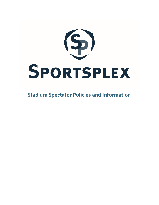

**Stadium Spectator Policies and Information**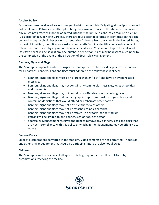# **Alcohol Policy**

Fans who consume alcohol are encouraged to drink responsibly. Tailgating at the Sportsplex will not be allowed. Patrons who attempt to bring their own alcohol into the stadium or who are obviously intoxicated will not be admitted into the stadium. All alcohol sales require a picture ID as proof of age. In North Carolina, there are four acceptable forms of identification that can be used to buy alcoholic beverages: current driver's license from any state in the United States, current U.S. military identification card, current North Carolina identification card or current official passport issued by any nation. You must be at least 21-years-old to purchase alcohol. Only two beers will be sold at any one purchase per person. Sales may be discontinued prior to the completion of the event at the discretion of Sportsplex Management.

### **Banners, Signs and Flags**

The Sportsplex supports and encourages the fan experience. To provide a positive experience for all patrons, banners, signs and flags must adhere to the following guidelines:

- Banners, signs and flags must be no larger than 24" x 24" and have an event-related message.
- Banners, signs and flags may not contain any commercial messages, logos or political endorsements.
- Banners, signs and flags may not contain any offensive or obscene language.
- Banners, signs and flags that contain graphic depictions must be in good taste and contain no depictions that would offend or embarrass other patrons.
- Banners, signs and flags may not obstruct the view of others.
- Banners, signs and flags may not be attached to poles or sticks.
- Banners, signs and flags may not be affixed, in any form, to the stadium.
- Patrons will be limited to one banner, sign or flag, per person.
- Sportsplex Management reserves the right to remove any banners, signs and flags that are not in compliance with this policy or which, in their judgement, may be offensive to others.

# **Camera Policy**

Small still cameras are permitted in the stadium. Video cameras are not permitted. Tripods or any other similar equipment that could be a tripping hazard are also not allowed.

# **Children**

The Sportsplex welcomes fans of all ages. Ticketing requirements will be set-forth by organizations reserving the facility.

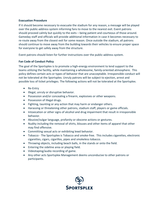#### **Evacuation Procedure**

If it should become necessary to evacuate the stadium for any reason, a message will be played over the public-address system informing fans to move to the nearest exit. Event patrons should proceed calmly but quickly to the exits – being patient and courteous of those around. Gameday staff and officials will provide additional information in case it becomes necessary to re-route away from the closest exit for some reason. Once outside the stadium, all patrons should continue to move away from the building towards their vehicles to ensure proper space for everyone to get safely away from the structure.

Event patrons should listen for further instructions over the public-address system.

# **Fan Code of Conduct Policy**

The goal of the Sportsplex is to promote a high-energy environment to lend support to the teams utilizing the facility, while maintaining a wholesome, family-oriented atmosphere. This policy defines certain acts or types of behavior that are unacceptable. Irresponsible conduct will not be tolerated at the Sportsplex. Unruly patrons will be subject to ejection, arrest and possible loss of ticket privileges. The following actions will not be tolerated at the Sportsplex.

- Re-Entry
- Illegal, unruly or disruptive behavior.
- Possession and/or concealing a firearm, explosives or other weapons.
- Possession of illegal drugs.
- Fighting, taunting or any action that may harm or endanger others.
- Harassing or threatening other patrons, stadium staff, players or game officials.
- Intoxication or other signs of alcohol and drug impairment that result in irresponsible behavior.
- Abusive/vulgar language, profanity or obscene actions or gestures.
- Nudity including the removal of shirts, blouses and other items of apparel that other may find offensive.
- Committing sexual acts or exhibiting lewd behavior.
- Tobacco The Sportsplex is Tobacco and smoke-free. This includes cigarettes, electronic cigarettes, cigars, cigarillos, pipes and smokeless tobacco.
- Throwing objects, including beach balls, in the stands or onto the field.
- Entering the sideline area or playing field.
- Videotaping/audio recording of game.
- Any other acts Sportsplex Management deems unconducive to other patrons or participants.

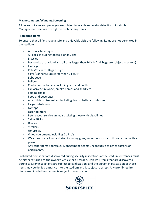### **Magnetometers/Wanding Screening**

All persons, items and packages are subject to search and metal detection. Sportsplex Management reserves the right to prohibit any items.

#### **Prohibited Items**

To ensure that all fans have a safe and enjoyable visit the following items are not permitted in the stadium:

- Alcoholic beverages
- All balls, including footballs of any size
- Bicycles
- Backpacks of any kind and all bags larger than 14"x14" (all bags are subject to search)
- Ice bags
- Poles/Sticks for flags or signs
- Signs/Banners/Flags larger than 24"x24"
- Baby seats
- Balloons
- Coolers or containers, including cans and bottles
- Explosives, fireworks, smoke bombs and sparklers
- Folding chairs
- Food and beverages
- All artificial noise makers including; horns, bells, and whistles
- Illegal substances
- Laptops
- Laser pointers
- Pets, except service animals assisting those with disabilities
- Selfie Sticks
- Drones
- Strollers
- Umbrellas
- Video equipment, including Go Pro's
- Weapons of any kind and size, including guns, knives, scissors and those carried with a permit
- Any other items Sportsplex Management deems unconducive to other patrons or participants.

Prohibited items that are discovered during security inspections at the stadium entrances must be either returned to the owner's vehicle or discarded. Unlawful items that are discovered during security inspections are subject to confiscation, and the person in possession of those items may be denied entrance into the stadium and is subject to arrest. Any prohibited item discovered inside the stadium is subject to confiscation.